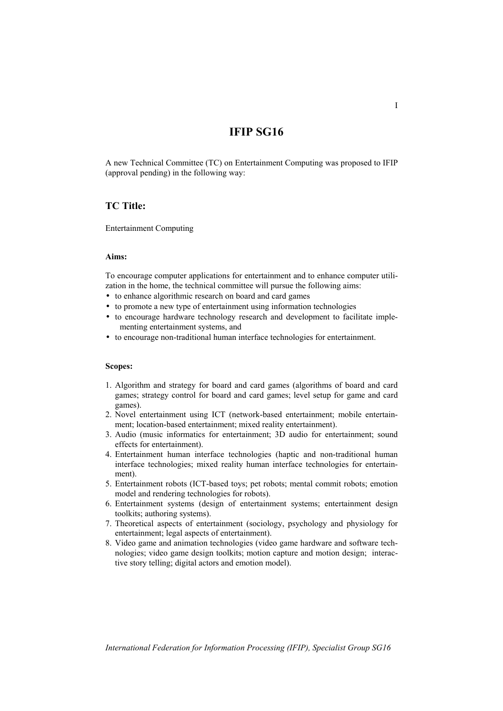# **IFIP SG16**

A new Technical Committee (TC) on Entertainment Computing was proposed to IFIP (approval pending) in the following way:

## **TC Title:**

Entertainment Computing

### **Aims:**

To encourage computer applications for entertainment and to enhance computer utilization in the home, the technical committee will pursue the following aims:

- to enhance algorithmic research on board and card games
- to promote a new type of entertainment using information technologies
- to encourage hardware technology research and development to facilitate implementing entertainment systems, and
- to encourage non-traditional human interface technologies for entertainment.

## **Scopes:**

- 1. Algorithm and strategy for board and card games (algorithms of board and card games; strategy control for board and card games; level setup for game and card games).
- 2. Novel entertainment using ICT (network-based entertainment; mobile entertainment; location-based entertainment; mixed reality entertainment).
- 3. Audio (music informatics for entertainment; 3D audio for entertainment; sound effects for entertainment).
- 4. Entertainment human interface technologies (haptic and non-traditional human interface technologies; mixed reality human interface technologies for entertainment).
- 5. Entertainment robots (ICT-based toys; pet robots; mental commit robots; emotion model and rendering technologies for robots).
- 6. Entertainment systems (design of entertainment systems; entertainment design toolkits; authoring systems).
- 7. Theoretical aspects of entertainment (sociology, psychology and physiology for entertainment; legal aspects of entertainment).
- 8. Video game and animation technologies (video game hardware and software technologies; video game design toolkits; motion capture and motion design; interactive story telling; digital actors and emotion model).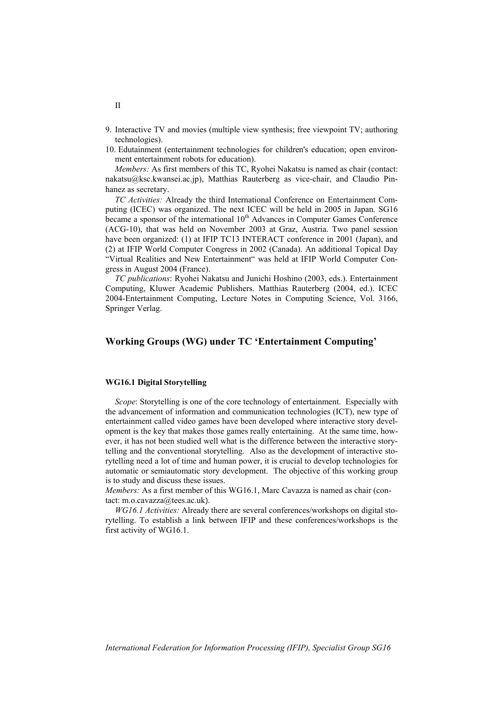- 9. Interactive TV and movies (multiple view synthesis; free viewpoint TV; authoring technologies).
- 10. Edutainment (entertainment technologies for children's education; open environment entertainment robots for education).

*Members:* As first members of this TC, Ryohei Nakatsu is named as chair (contact: nakatsu@ksc.kwansei.ac.jp), Matthias Rauterberg as vice-chair, and Claudio Pinhanez as secretary.

*TC Activities:* Already the third International Conference on Entertainment Computing (ICEC) was organized. The next ICEC will be held in 2005 in Japan. SG16 became a sponsor of the international  $10<sup>th</sup>$  Advances in Computer Games Conference (ACG-10), that was held on November 2003 at Graz, Austria. Two panel session have been organized: (1) at IFIP TC13 INTERACT conference in 2001 (Japan), and (2) at IFIP World Computer Congress in 2002 (Canada). An additional Topical Day "Virtual Realities and New Entertainment" was held at IFIP World Computer Congress in August 2004 (France).

*TC publications*: Ryohei Nakatsu and Junichi Hoshino (2003, eds.). Entertainment Computing, Kluwer Academic Publishers. Matthias Rauterberg (2004, ed.). ICEC 2004-Entertainment Computing, Lecture Notes in Computing Science, Vol. 3166, Springer Verlag.

## **Working Groups (WG) under TC 'Entertainment Computing'**

### **WG16.1 Digital Storytelling**

*Scope*: Storytelling is one of the core technology of entertainment. Especially with the advancement of information and communication technologies (ICT), new type of entertainment called video games have been developed where interactive story development is the key that makes those games really entertaining. At the same time, however, it has not been studied well what is the difference between the interactive storytelling and the conventional storytelling. Also as the development of interactive storytelling need a lot of time and human power, it is crucial to develop technologies for automatic or semiautomatic story development. The objective of this working group is to study and discuss these issues.

*Members:* As a first member of this WG16.1, Marc Cavazza is named as chair (contact: m.o.cavazza@tees.ac.uk).

*WG16.1 Activities:* Already there are several conferences/workshops on digital storytelling. To establish a link between IFIP and these conferences/workshops is the first activity of WG16.1.

II